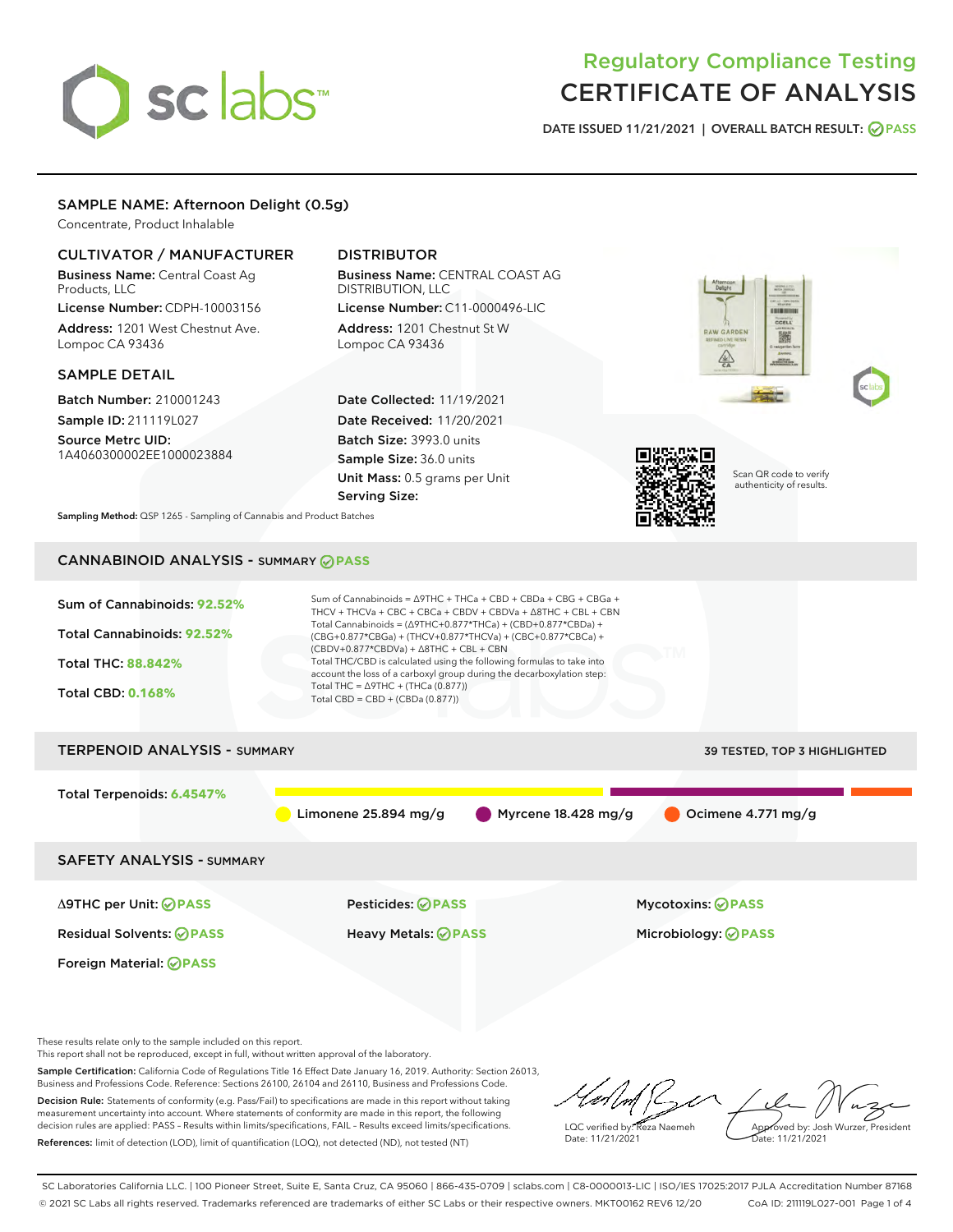# sclabs<sup>\*</sup>

# Regulatory Compliance Testing CERTIFICATE OF ANALYSIS

DATE ISSUED 11/21/2021 | OVERALL BATCH RESULT: @ PASS

## SAMPLE NAME: Afternoon Delight (0.5g)

Concentrate, Product Inhalable

## CULTIVATOR / MANUFACTURER

Business Name: Central Coast Ag Products, LLC

License Number: CDPH-10003156 Address: 1201 West Chestnut Ave. Lompoc CA 93436

#### SAMPLE DETAIL

Batch Number: 210001243 Sample ID: 211119L027

Source Metrc UID: 1A4060300002EE1000023884

# DISTRIBUTOR

Business Name: CENTRAL COAST AG DISTRIBUTION, LLC License Number: C11-0000496-LIC

Address: 1201 Chestnut St W Lompoc CA 93436

Date Collected: 11/19/2021 Date Received: 11/20/2021 Batch Size: 3993.0 units Sample Size: 36.0 units Unit Mass: 0.5 grams per Unit Serving Size:







Scan QR code to verify authenticity of results.

Sampling Method: QSP 1265 - Sampling of Cannabis and Product Batches

# CANNABINOID ANALYSIS - SUMMARY **PASS**

| Sum of Cannabinoids: 92.52%<br>Total Cannabinoids: 92.52%<br><b>Total THC: 88.842%</b><br><b>Total CBD: 0.168%</b> | Total Cannabinoids = $(\Delta$ 9THC+0.877*THCa) + (CBD+0.877*CBDa) +<br>$(CBG+0.877*CBGa) + (THCV+0.877*THCVa) + (CBC+0.877*CBCa) +$<br>$(CBDV+0.877*CBDVa) + \Delta 8THC + CBL + CBN$<br>Total THC/CBD is calculated using the following formulas to take into<br>account the loss of a carboxyl group during the decarboxylation step:<br>Total THC = $\triangle$ 9THC + (THCa (0.877))<br>Total CBD = $CBD + (CBDa (0.877))$ | Sum of Cannabinoids = $\triangle$ 9THC + THCa + CBD + CBDa + CBG + CBGa +<br>THCV + THCVa + CBC + CBCa + CBDV + CBDVa + $\Delta$ 8THC + CBL + CBN |                              |  |
|--------------------------------------------------------------------------------------------------------------------|---------------------------------------------------------------------------------------------------------------------------------------------------------------------------------------------------------------------------------------------------------------------------------------------------------------------------------------------------------------------------------------------------------------------------------|---------------------------------------------------------------------------------------------------------------------------------------------------|------------------------------|--|
| <b>TERPENOID ANALYSIS - SUMMARY</b>                                                                                |                                                                                                                                                                                                                                                                                                                                                                                                                                 |                                                                                                                                                   | 39 TESTED, TOP 3 HIGHLIGHTED |  |
| Total Terpenoids: 6.4547%                                                                                          | Limonene $25.894$ mg/g                                                                                                                                                                                                                                                                                                                                                                                                          | $\blacksquare$ Myrcene 18.428 mg/g                                                                                                                | Ocimene $4.771$ mg/g         |  |
| <b>SAFETY ANALYSIS - SUMMARY</b>                                                                                   |                                                                                                                                                                                                                                                                                                                                                                                                                                 |                                                                                                                                                   |                              |  |
|                                                                                                                    |                                                                                                                                                                                                                                                                                                                                                                                                                                 |                                                                                                                                                   |                              |  |

Foreign Material: **PASS**

Δ9THC per Unit: **PASS** Pesticides: **PASS** Mycotoxins: **PASS**

Residual Solvents: **PASS** Heavy Metals: **PASS** Microbiology: **PASS**

These results relate only to the sample included on this report.

This report shall not be reproduced, except in full, without written approval of the laboratory.

Sample Certification: California Code of Regulations Title 16 Effect Date January 16, 2019. Authority: Section 26013, Business and Professions Code. Reference: Sections 26100, 26104 and 26110, Business and Professions Code. Decision Rule: Statements of conformity (e.g. Pass/Fail) to specifications are made in this report without taking measurement uncertainty into account. Where statements of conformity are made in this report, the following

decision rules are applied: PASS – Results within limits/specifications, FAIL – Results exceed limits/specifications. References: limit of detection (LOD), limit of quantification (LOQ), not detected (ND), not tested (NT)

LQC verified by: Reza Naemeh Date: 11/21/2021 Approved by: Josh Wurzer, President Date: 11/21/2021

SC Laboratories California LLC. | 100 Pioneer Street, Suite E, Santa Cruz, CA 95060 | 866-435-0709 | sclabs.com | C8-0000013-LIC | ISO/IES 17025:2017 PJLA Accreditation Number 87168 © 2021 SC Labs all rights reserved. Trademarks referenced are trademarks of either SC Labs or their respective owners. MKT00162 REV6 12/20 CoA ID: 211119L027-001 Page 1 of 4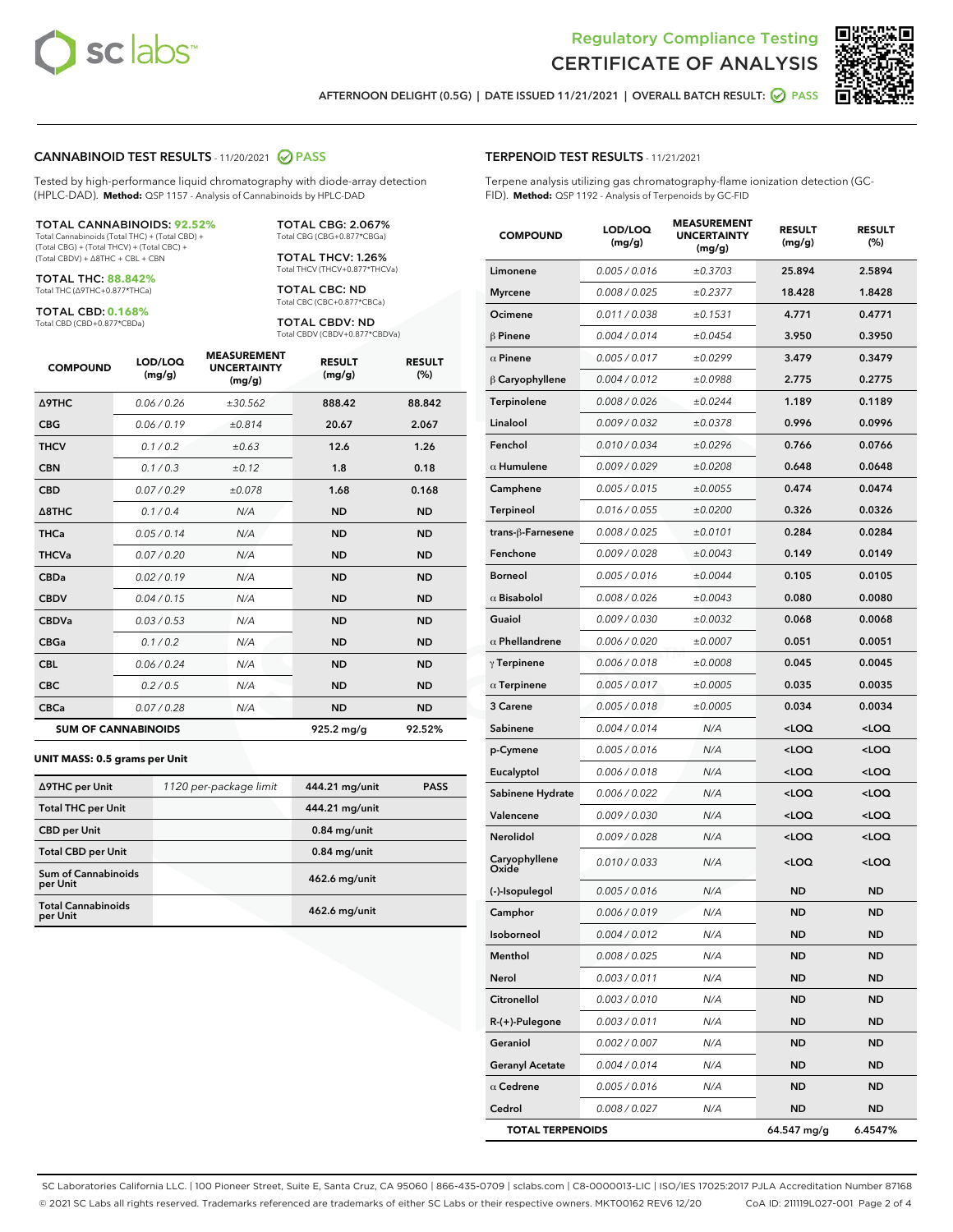



AFTERNOON DELIGHT (0.5G) | DATE ISSUED 11/21/2021 | OVERALL BATCH RESULT: 2 PASS

# CANNABINOID TEST RESULTS - 11/20/2021 @ PASS

Tested by high-performance liquid chromatography with diode-array detection (HPLC-DAD). **Method:** QSP 1157 - Analysis of Cannabinoids by HPLC-DAD

#### TOTAL CANNABINOIDS: **92.52%**

Total Cannabinoids (Total THC) + (Total CBD) + (Total CBG) + (Total THCV) + (Total CBC) + (Total CBDV) + ∆8THC + CBL + CBN

TOTAL THC: **88.842%** Total THC (∆9THC+0.877\*THCa)

TOTAL CBD: **0.168%** Total CBD (CBD+0.877\*CBDa)

TOTAL THCV: 1.26% Total THCV (THCV+0.877\*THCVa)

> TOTAL CBC: ND Total CBC (CBC+0.877\*CBCa)

TOTAL CBG: 2.067% Total CBG (CBG+0.877\*CBGa)

TOTAL CBDV: ND Total CBDV (CBDV+0.877\*CBDVa)

| <b>COMPOUND</b>  | LOD/LOQ<br>(mg/g)          | <b>MEASUREMENT</b><br><b>UNCERTAINTY</b><br>(mg/g) | <b>RESULT</b><br>(mg/g) | <b>RESULT</b><br>(%) |
|------------------|----------------------------|----------------------------------------------------|-------------------------|----------------------|
| <b>A9THC</b>     | 0.06 / 0.26                | ±30.562                                            | 888.42                  | 88.842               |
| <b>CBG</b>       | 0.06/0.19                  | ±0.814                                             | 20.67                   | 2.067                |
| <b>THCV</b>      | 0.1 / 0.2                  | ±0.63                                              | 12.6                    | 1.26                 |
| <b>CBN</b>       | 0.1 / 0.3                  | ±0.12                                              | 1.8                     | 0.18                 |
| <b>CBD</b>       | 0.07/0.29                  | ±0.078                                             | 1.68                    | 0.168                |
| $\triangle$ 8THC | 0.1 / 0.4                  | N/A                                                | <b>ND</b>               | <b>ND</b>            |
| <b>THCa</b>      | 0.05/0.14                  | N/A                                                | <b>ND</b>               | <b>ND</b>            |
| <b>THCVa</b>     | 0.07/0.20                  | N/A                                                | <b>ND</b>               | <b>ND</b>            |
| <b>CBDa</b>      | 0.02/0.19                  | N/A                                                | <b>ND</b>               | <b>ND</b>            |
| <b>CBDV</b>      | 0.04/0.15                  | N/A                                                | <b>ND</b>               | <b>ND</b>            |
| <b>CBDVa</b>     | 0.03/0.53                  | N/A                                                | <b>ND</b>               | <b>ND</b>            |
| <b>CBGa</b>      | 0.1/0.2                    | N/A                                                | <b>ND</b>               | <b>ND</b>            |
| <b>CBL</b>       | 0.06 / 0.24                | N/A                                                | <b>ND</b>               | <b>ND</b>            |
| <b>CBC</b>       | 0.2 / 0.5                  | N/A                                                | <b>ND</b>               | <b>ND</b>            |
| <b>CBCa</b>      | 0.07 / 0.28                | N/A                                                | <b>ND</b>               | <b>ND</b>            |
|                  | <b>SUM OF CANNABINOIDS</b> |                                                    | $925.2 \,\mathrm{mg/g}$ | 92.52%               |

#### **UNIT MASS: 0.5 grams per Unit**

| ∆9THC per Unit                        | 1120 per-package limit | 444.21 mg/unit  | <b>PASS</b> |
|---------------------------------------|------------------------|-----------------|-------------|
| <b>Total THC per Unit</b>             |                        | 444.21 mg/unit  |             |
| <b>CBD per Unit</b>                   |                        | $0.84$ mg/unit  |             |
| <b>Total CBD per Unit</b>             |                        | $0.84$ mg/unit  |             |
| Sum of Cannabinoids<br>per Unit       |                        | 462.6 mg/unit   |             |
| <b>Total Cannabinoids</b><br>per Unit |                        | $462.6$ mg/unit |             |

| <b>TERPENOID TEST RESULTS - 11/21/2021</b>                                                                                                 |
|--------------------------------------------------------------------------------------------------------------------------------------------|
| Terpene analysis utilizing gas chromatography-flame ionization detection (GC-<br>FID). Method: QSP 1192 - Analysis of Terpenoids by GC-FID |

| <b>COMPOUND</b>         | LOD/LOQ<br>(mg/g) | <b>MEASUREMENT</b><br><b>UNCERTAINTY</b><br>(mg/g) | <b>RESULT</b><br>(mg/g)                          | <b>RESULT</b><br>$(\%)$ |
|-------------------------|-------------------|----------------------------------------------------|--------------------------------------------------|-------------------------|
| Limonene                | 0.005 / 0.016     | ±0.3703                                            | 25.894                                           | 2.5894                  |
| <b>Myrcene</b>          | 0.008 / 0.025     | ±0.2377                                            | 18.428                                           | 1.8428                  |
| Ocimene                 | 0.011 / 0.038     | ±0.1531                                            | 4.771                                            | 0.4771                  |
| $\beta$ Pinene          | 0.004 / 0.014     | ±0.0454                                            | 3.950                                            | 0.3950                  |
| $\alpha$ Pinene         | 0.005 / 0.017     | ±0.0299                                            | 3.479                                            | 0.3479                  |
| $\beta$ Caryophyllene   | 0.004 / 0.012     | ±0.0988                                            | 2.775                                            | 0.2775                  |
| Terpinolene             | 0.008 / 0.026     | ±0.0244                                            | 1.189                                            | 0.1189                  |
| Linalool                | 0.009 / 0.032     | ±0.0378                                            | 0.996                                            | 0.0996                  |
| Fenchol                 | 0.010 / 0.034     | ±0.0296                                            | 0.766                                            | 0.0766                  |
| $\alpha$ Humulene       | 0.009 / 0.029     | ±0.0208                                            | 0.648                                            | 0.0648                  |
| Camphene                | 0.005 / 0.015     | ±0.0055                                            | 0.474                                            | 0.0474                  |
| Terpineol               | 0.016 / 0.055     | ±0.0200                                            | 0.326                                            | 0.0326                  |
| trans-ß-Farnesene       | 0.008 / 0.025     | ±0.0101                                            | 0.284                                            | 0.0284                  |
| Fenchone                | 0.009 / 0.028     | ±0.0043                                            | 0.149                                            | 0.0149                  |
| <b>Borneol</b>          | 0.005 / 0.016     | ±0.0044                                            | 0.105                                            | 0.0105                  |
| $\alpha$ Bisabolol      | 0.008 / 0.026     | ±0.0043                                            | 0.080                                            | 0.0080                  |
| Guaiol                  | 0.009 / 0.030     | ±0.0032                                            | 0.068                                            | 0.0068                  |
| $\alpha$ Phellandrene   | 0.006 / 0.020     | ±0.0007                                            | 0.051                                            | 0.0051                  |
| $\gamma$ Terpinene      | 0.006 / 0.018     | ±0.0008                                            | 0.045                                            | 0.0045                  |
| $\alpha$ Terpinene      | 0.005 / 0.017     | ±0.0005                                            | 0.035                                            | 0.0035                  |
| 3 Carene                | 0.005 / 0.018     | ±0.0005                                            | 0.034                                            | 0.0034                  |
| Sabinene                | 0.004 / 0.014     | N/A                                                | <loq< th=""><th><math>&lt;</math>LOQ</th></loq<> | $<$ LOQ                 |
| p-Cymene                | 0.005 / 0.016     | N/A                                                | <loq< th=""><th><loq< th=""></loq<></th></loq<>  | <loq< th=""></loq<>     |
| Eucalyptol              | 0.006 / 0.018     | N/A                                                | <loq< th=""><th><loq< th=""></loq<></th></loq<>  | <loq< th=""></loq<>     |
| Sabinene Hydrate        | 0.006 / 0.022     | N/A                                                | <loq< th=""><th><math>&lt;</math>LOQ</th></loq<> | $<$ LOQ                 |
| Valencene               | 0.009 / 0.030     | N/A                                                | <loq< th=""><th><loq< th=""></loq<></th></loq<>  | <loq< th=""></loq<>     |
| Nerolidol               | 0.009 / 0.028     | N/A                                                | <loq< th=""><th><loq< th=""></loq<></th></loq<>  | <loq< th=""></loq<>     |
| Caryophyllene<br>Oxide  | 0.010 / 0.033     | N/A                                                | <loq< th=""><th><loq< th=""></loq<></th></loq<>  | <loq< th=""></loq<>     |
| (-)-Isopulegol          | 0.005 / 0.016     | N/A                                                | <b>ND</b>                                        | <b>ND</b>               |
| Camphor                 | 0.006 / 0.019     | N/A                                                | <b>ND</b>                                        | <b>ND</b>               |
| Isoborneol              | 0.004 / 0.012     | N/A                                                | ND                                               | ND                      |
| Menthol                 | 0.008 / 0.025     | N/A                                                | ND                                               | ND                      |
| Nerol                   | 0.003 / 0.011     | N/A                                                | ND                                               | ND                      |
| Citronellol             | 0.003 / 0.010     | N/A                                                | ND                                               | <b>ND</b>               |
| R-(+)-Pulegone          | 0.003 / 0.011     | N/A                                                | ND                                               | ND                      |
| Geraniol                | 0.002 / 0.007     | N/A                                                | ND                                               | ND                      |
| <b>Geranyl Acetate</b>  | 0.004 / 0.014     | N/A                                                | ND                                               | <b>ND</b>               |
| $\alpha$ Cedrene        | 0.005 / 0.016     | N/A                                                | ND                                               | ND                      |
| Cedrol                  | 0.008 / 0.027     | N/A                                                | ND                                               | ND                      |
| <b>TOTAL TERPENOIDS</b> |                   | 64.547 mg/g                                        | 6.4547%                                          |                         |

SC Laboratories California LLC. | 100 Pioneer Street, Suite E, Santa Cruz, CA 95060 | 866-435-0709 | sclabs.com | C8-0000013-LIC | ISO/IES 17025:2017 PJLA Accreditation Number 87168 © 2021 SC Labs all rights reserved. Trademarks referenced are trademarks of either SC Labs or their respective owners. MKT00162 REV6 12/20 CoA ID: 211119L027-001 Page 2 of 4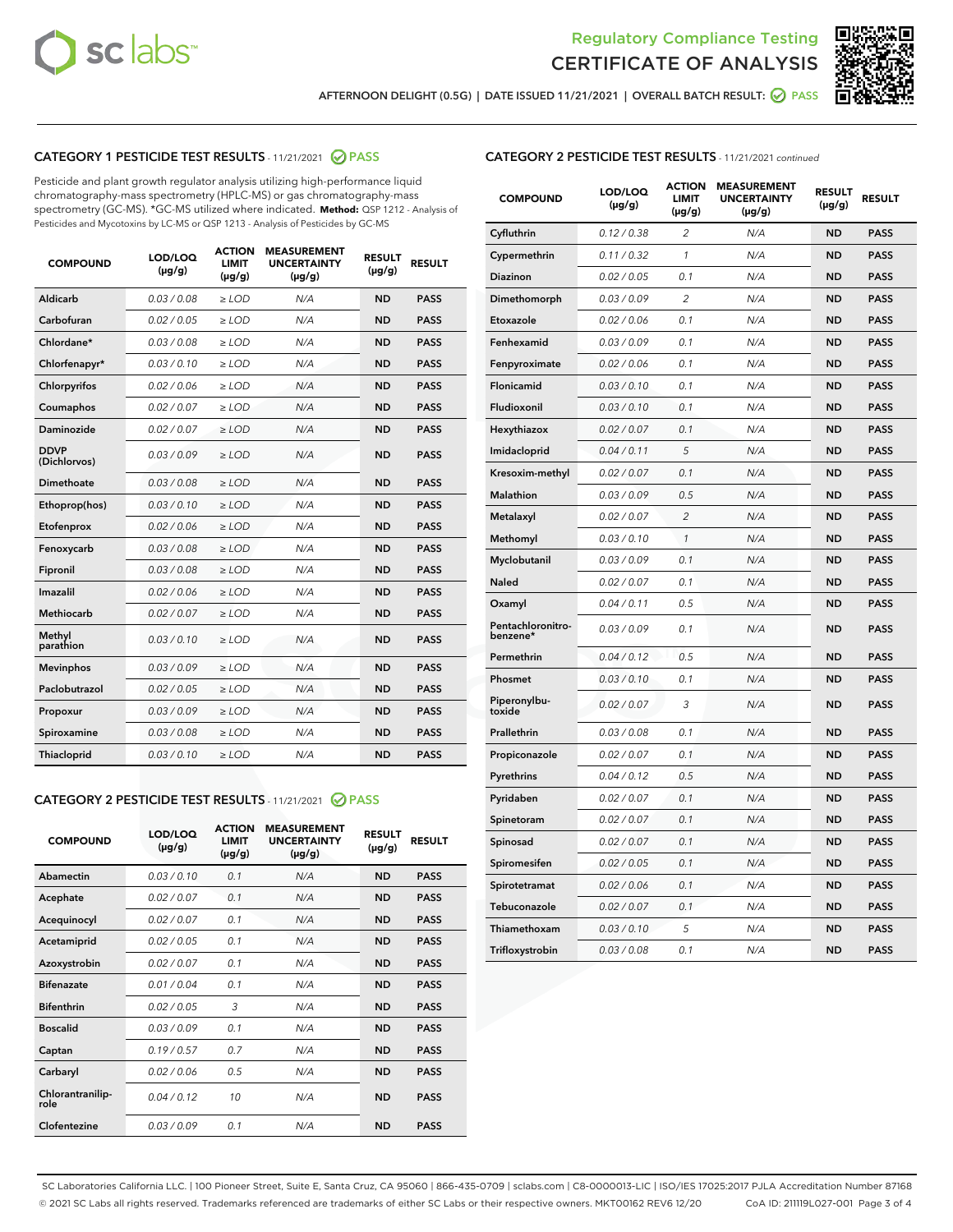



AFTERNOON DELIGHT (0.5G) | DATE ISSUED 11/21/2021 | OVERALL BATCH RESULT: @ PASS

# CATEGORY 1 PESTICIDE TEST RESULTS - 11/21/2021 2 PASS

Pesticide and plant growth regulator analysis utilizing high-performance liquid chromatography-mass spectrometry (HPLC-MS) or gas chromatography-mass spectrometry (GC-MS). \*GC-MS utilized where indicated. **Method:** QSP 1212 - Analysis of Pesticides and Mycotoxins by LC-MS or QSP 1213 - Analysis of Pesticides by GC-MS

| <b>COMPOUND</b>             | LOD/LOQ<br>$(\mu g/g)$ | <b>ACTION</b><br><b>LIMIT</b><br>$(\mu q/q)$ | <b>MEASUREMENT</b><br><b>UNCERTAINTY</b><br>$(\mu g/g)$ | <b>RESULT</b><br>$(\mu g/g)$ | <b>RESULT</b> |
|-----------------------------|------------------------|----------------------------------------------|---------------------------------------------------------|------------------------------|---------------|
| Aldicarb                    | 0.03 / 0.08            | $\ge$ LOD                                    | N/A                                                     | <b>ND</b>                    | <b>PASS</b>   |
| Carbofuran                  | 0.02 / 0.05            | $\ge$ LOD                                    | N/A                                                     | <b>ND</b>                    | <b>PASS</b>   |
| Chlordane*                  | 0.03 / 0.08            | $\ge$ LOD                                    | N/A                                                     | <b>ND</b>                    | <b>PASS</b>   |
| Chlorfenapyr*               | 0.03/0.10              | $\ge$ LOD                                    | N/A                                                     | <b>ND</b>                    | <b>PASS</b>   |
| Chlorpyrifos                | 0.02 / 0.06            | $\ge$ LOD                                    | N/A                                                     | <b>ND</b>                    | <b>PASS</b>   |
| Coumaphos                   | 0.02 / 0.07            | $\ge$ LOD                                    | N/A                                                     | <b>ND</b>                    | <b>PASS</b>   |
| Daminozide                  | 0.02 / 0.07            | $\ge$ LOD                                    | N/A                                                     | <b>ND</b>                    | <b>PASS</b>   |
| <b>DDVP</b><br>(Dichlorvos) | 0.03/0.09              | $>$ LOD                                      | N/A                                                     | <b>ND</b>                    | <b>PASS</b>   |
| Dimethoate                  | 0.03 / 0.08            | $\ge$ LOD                                    | N/A                                                     | <b>ND</b>                    | <b>PASS</b>   |
| Ethoprop(hos)               | 0.03/0.10              | $\ge$ LOD                                    | N/A                                                     | <b>ND</b>                    | <b>PASS</b>   |
| Etofenprox                  | 0.02/0.06              | $>$ LOD                                      | N/A                                                     | <b>ND</b>                    | <b>PASS</b>   |
| Fenoxycarb                  | 0.03 / 0.08            | $\ge$ LOD                                    | N/A                                                     | <b>ND</b>                    | <b>PASS</b>   |
| Fipronil                    | 0.03/0.08              | $>$ LOD                                      | N/A                                                     | <b>ND</b>                    | <b>PASS</b>   |
| Imazalil                    | 0.02 / 0.06            | $\ge$ LOD                                    | N/A                                                     | <b>ND</b>                    | <b>PASS</b>   |
| Methiocarb                  | 0.02 / 0.07            | $\ge$ LOD                                    | N/A                                                     | <b>ND</b>                    | <b>PASS</b>   |
| Methyl<br>parathion         | 0.03/0.10              | $>$ LOD                                      | N/A                                                     | <b>ND</b>                    | <b>PASS</b>   |
| <b>Mevinphos</b>            | 0.03/0.09              | $>$ LOD                                      | N/A                                                     | <b>ND</b>                    | <b>PASS</b>   |
| Paclobutrazol               | 0.02 / 0.05            | $\ge$ LOD                                    | N/A                                                     | <b>ND</b>                    | <b>PASS</b>   |
| Propoxur                    | 0.03 / 0.09            | $\ge$ LOD                                    | N/A                                                     | <b>ND</b>                    | <b>PASS</b>   |
| Spiroxamine                 | 0.03 / 0.08            | $\ge$ LOD                                    | N/A                                                     | <b>ND</b>                    | <b>PASS</b>   |
| Thiacloprid                 | 0.03/0.10              | $\ge$ LOD                                    | N/A                                                     | <b>ND</b>                    | <b>PASS</b>   |

#### CATEGORY 2 PESTICIDE TEST RESULTS - 11/21/2021 @ PASS

| <b>COMPOUND</b>          | LOD/LOQ<br>$(\mu g/g)$ | <b>ACTION</b><br><b>LIMIT</b><br>$(\mu g/g)$ | <b>MEASUREMENT</b><br><b>UNCERTAINTY</b><br>$(\mu g/g)$ | <b>RESULT</b><br>$(\mu g/g)$ | <b>RESULT</b> |
|--------------------------|------------------------|----------------------------------------------|---------------------------------------------------------|------------------------------|---------------|
| Abamectin                | 0.03/0.10              | 0.1                                          | N/A                                                     | <b>ND</b>                    | <b>PASS</b>   |
| Acephate                 | 0.02/0.07              | 0.1                                          | N/A                                                     | <b>ND</b>                    | <b>PASS</b>   |
| Acequinocyl              | 0.02/0.07              | 0.1                                          | N/A                                                     | <b>ND</b>                    | <b>PASS</b>   |
| Acetamiprid              | 0.02/0.05              | 0.1                                          | N/A                                                     | <b>ND</b>                    | <b>PASS</b>   |
| Azoxystrobin             | 0.02/0.07              | 0.1                                          | N/A                                                     | <b>ND</b>                    | <b>PASS</b>   |
| <b>Bifenazate</b>        | 0.01/0.04              | 0.1                                          | N/A                                                     | <b>ND</b>                    | <b>PASS</b>   |
| <b>Bifenthrin</b>        | 0.02 / 0.05            | 3                                            | N/A                                                     | <b>ND</b>                    | <b>PASS</b>   |
| <b>Boscalid</b>          | 0.03/0.09              | 0.1                                          | N/A                                                     | <b>ND</b>                    | <b>PASS</b>   |
| Captan                   | 0.19/0.57              | 0.7                                          | N/A                                                     | <b>ND</b>                    | <b>PASS</b>   |
| Carbaryl                 | 0.02/0.06              | 0.5                                          | N/A                                                     | <b>ND</b>                    | <b>PASS</b>   |
| Chlorantranilip-<br>role | 0.04/0.12              | 10                                           | N/A                                                     | <b>ND</b>                    | <b>PASS</b>   |
| Clofentezine             | 0.03/0.09              | 0.1                                          | N/A                                                     | <b>ND</b>                    | <b>PASS</b>   |

# CATEGORY 2 PESTICIDE TEST RESULTS - 11/21/2021 continued

| <b>COMPOUND</b>               | LOD/LOQ<br>$(\mu g/g)$ | <b>ACTION</b><br>LIMIT<br>$(\mu g/g)$ | <b>MEASUREMENT</b><br><b>UNCERTAINTY</b><br>$(\mu g/g)$ | <b>RESULT</b><br>$(\mu g/g)$ | <b>RESULT</b> |
|-------------------------------|------------------------|---------------------------------------|---------------------------------------------------------|------------------------------|---------------|
| Cyfluthrin                    | 0.12 / 0.38            | $\overline{2}$                        | N/A                                                     | <b>ND</b>                    | <b>PASS</b>   |
| Cypermethrin                  | 0.11 / 0.32            | 1                                     | N/A                                                     | <b>ND</b>                    | <b>PASS</b>   |
| Diazinon                      | 0.02 / 0.05            | 0.1                                   | N/A                                                     | ND                           | <b>PASS</b>   |
| Dimethomorph                  | 0.03 / 0.09            | 2                                     | N/A                                                     | <b>ND</b>                    | <b>PASS</b>   |
| Etoxazole                     | 0.02 / 0.06            | 0.1                                   | N/A                                                     | ND                           | <b>PASS</b>   |
| Fenhexamid                    | 0.03 / 0.09            | 0.1                                   | N/A                                                     | ND                           | <b>PASS</b>   |
| Fenpyroximate                 | 0.02 / 0.06            | 0.1                                   | N/A                                                     | <b>ND</b>                    | <b>PASS</b>   |
| Flonicamid                    | 0.03 / 0.10            | 0.1                                   | N/A                                                     | ND                           | <b>PASS</b>   |
| Fludioxonil                   | 0.03 / 0.10            | 0.1                                   | N/A                                                     | ND                           | <b>PASS</b>   |
| Hexythiazox                   | 0.02 / 0.07            | 0.1                                   | N/A                                                     | <b>ND</b>                    | <b>PASS</b>   |
| Imidacloprid                  | 0.04 / 0.11            | 5                                     | N/A                                                     | <b>ND</b>                    | <b>PASS</b>   |
| Kresoxim-methyl               | 0.02 / 0.07            | 0.1                                   | N/A                                                     | ND                           | <b>PASS</b>   |
| Malathion                     | 0.03 / 0.09            | 0.5                                   | N/A                                                     | <b>ND</b>                    | <b>PASS</b>   |
| Metalaxyl                     | 0.02 / 0.07            | $\overline{\mathcal{L}}$              | N/A                                                     | <b>ND</b>                    | <b>PASS</b>   |
| Methomyl                      | 0.03 / 0.10            | 1                                     | N/A                                                     | <b>ND</b>                    | <b>PASS</b>   |
| Myclobutanil                  | 0.03 / 0.09            | 0.1                                   | N/A                                                     | <b>ND</b>                    | <b>PASS</b>   |
| Naled                         | 0.02 / 0.07            | 0.1                                   | N/A                                                     | <b>ND</b>                    | <b>PASS</b>   |
| Oxamyl                        | 0.04 / 0.11            | 0.5                                   | N/A                                                     | ND                           | <b>PASS</b>   |
| Pentachloronitro-<br>benzene* | 0.03 / 0.09            | 0.1                                   | N/A                                                     | ND                           | <b>PASS</b>   |
| Permethrin                    | 0.04 / 0.12            | 0.5                                   | N/A                                                     | <b>ND</b>                    | <b>PASS</b>   |
| Phosmet                       | 0.03 / 0.10            | 0.1                                   | N/A                                                     | <b>ND</b>                    | <b>PASS</b>   |
| Piperonylbu-<br>toxide        | 0.02 / 0.07            | 3                                     | N/A                                                     | ND                           | <b>PASS</b>   |
| Prallethrin                   | 0.03 / 0.08            | 0.1                                   | N/A                                                     | <b>ND</b>                    | <b>PASS</b>   |
| Propiconazole                 | 0.02 / 0.07            | 0.1                                   | N/A                                                     | <b>ND</b>                    | <b>PASS</b>   |
| Pyrethrins                    | 0.04 / 0.12            | 0.5                                   | N/A                                                     | ND                           | PASS          |
| Pyridaben                     | 0.02 / 0.07            | 0.1                                   | N/A                                                     | <b>ND</b>                    | <b>PASS</b>   |
| Spinetoram                    | 0.02 / 0.07            | 0.1                                   | N/A                                                     | ND                           | <b>PASS</b>   |
| Spinosad                      | 0.02 / 0.07            | 0.1                                   | N/A                                                     | <b>ND</b>                    | <b>PASS</b>   |
| Spiromesifen                  | 0.02 / 0.05            | 0.1                                   | N/A                                                     | ND                           | <b>PASS</b>   |
| Spirotetramat                 | 0.02 / 0.06            | 0.1                                   | N/A                                                     | ND                           | <b>PASS</b>   |
| Tebuconazole                  | 0.02 / 0.07            | 0.1                                   | N/A                                                     | ND                           | <b>PASS</b>   |
| Thiamethoxam                  | 0.03 / 0.10            | 5                                     | N/A                                                     | ND                           | <b>PASS</b>   |
| Trifloxystrobin               | 0.03 / 0.08            | 0.1                                   | N/A                                                     | <b>ND</b>                    | <b>PASS</b>   |

SC Laboratories California LLC. | 100 Pioneer Street, Suite E, Santa Cruz, CA 95060 | 866-435-0709 | sclabs.com | C8-0000013-LIC | ISO/IES 17025:2017 PJLA Accreditation Number 87168 © 2021 SC Labs all rights reserved. Trademarks referenced are trademarks of either SC Labs or their respective owners. MKT00162 REV6 12/20 CoA ID: 211119L027-001 Page 3 of 4